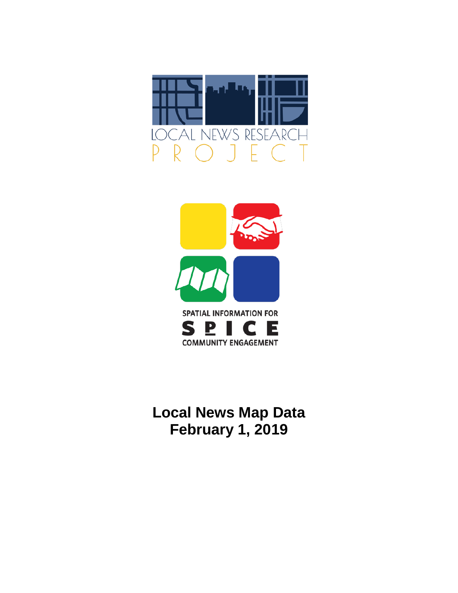



# **Local News Map Data February 1, 2019**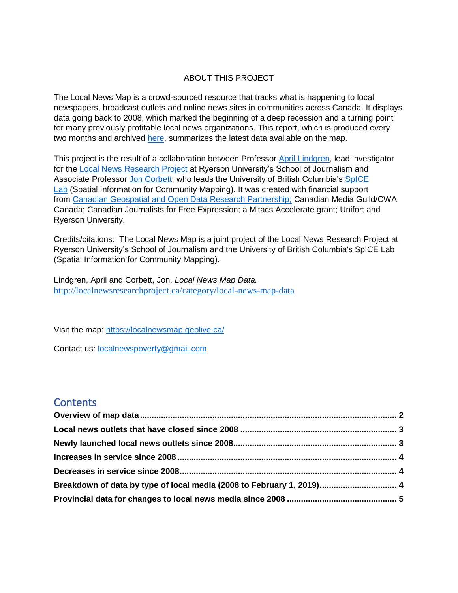#### ABOUT THIS PROJECT

The Local News Map is a crowd-sourced resource that tracks what is happening to local newspapers, broadcast outlets and online news sites in communities across Canada. It displays data going back to 2008, which marked the beginning of a deep recession and a turning point for many previously profitable local news organizations. This report, which is produced every two months and archived [here,](http://localnewsresearchproject.ca/category/local-news-map-data) summarizes the latest data available on the map.

This project is the result of a collaboration between Professor [April Lindgren,](http://rsj.journalism.ryerson.ca/team/april-lindgren/) lead investigator for the [Local News Research Project](http://localnewsresearchproject.ca/) at Ryerson University's School of Journalism and Associate Professor [Jon Corbett,](http://joncorbett.com/JonCorbett/Home.html) who leads the University of British Columbia's [SpICE](http://spice.geolive.ca/)  [Lab](http://spice.geolive.ca/) (Spatial Information for Community Mapping). It was created with financial support from [Canadian Geospatial and Open Data Research Partnership;](http://geothink.ca/) Canadian Media Guild/CWA Canada; Canadian Journalists for Free Expression; a Mitacs Accelerate grant; Unifor; and Ryerson University.

Credits/citations: The Local News Map is a joint project of the Local News Research Project at Ryerson University's School of Journalism and the University of British Columbia's SpICE Lab (Spatial Information for Community Mapping).

Lindgren, April and Corbett, Jon. *Local News Map Data.*  <http://localnewsresearchproject.ca/category/local-news-map-data>

Visit the map:<https://localnewsmap.geolive.ca/>

Contact us: **[localnewspoverty@gmail.com](mailto:localnewspoverty@gmail.com)** 

### **Contents**

| Breakdown of data by type of local media (2008 to February 1, 2019) 4 |  |
|-----------------------------------------------------------------------|--|
|                                                                       |  |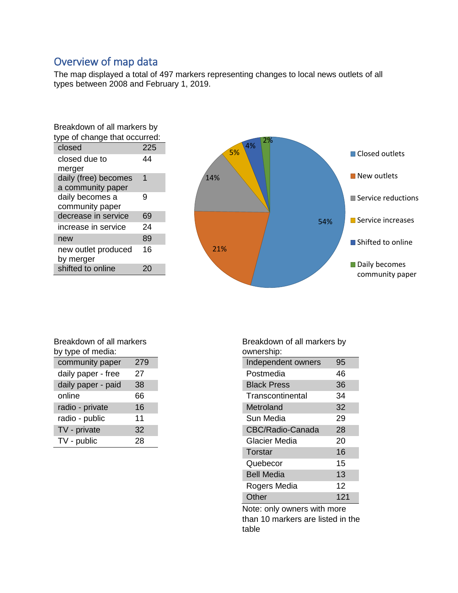# <span id="page-2-0"></span>Overview of map data

The map displayed a total of 497 markers representing changes to local news outlets of all types between 2008 and February 1, 2019.

| Breakdown of all markers by   |     |  |
|-------------------------------|-----|--|
| type of change that occurred: |     |  |
| closed                        | 225 |  |
| closed due to                 | 44  |  |
| merger                        |     |  |
| daily (free) becomes          | 1   |  |
| a community paper             |     |  |
| daily becomes a               | 9   |  |
| community paper               |     |  |
| decrease in service           | 69  |  |
| increase in service           | 24  |  |
| new                           | 89  |  |
| new outlet produced           | 16  |  |
| by merger                     |     |  |
| shifted to online             |     |  |



| Breakdown of all markers |     |  |
|--------------------------|-----|--|
| by type of media:        |     |  |
| community paper          | 279 |  |
| daily paper - free       | 27  |  |
| daily paper - paid       | 38  |  |
| online                   | 66  |  |
| radio - private          | 16  |  |
| radio - public           | 11  |  |
| TV - private             | 32  |  |
| TV - public              | 28  |  |
|                          |     |  |

Breakdown of all markers by ownership:

| Independent owners | 95  |
|--------------------|-----|
| Postmedia          | 46  |
| <b>Black Press</b> | 36  |
| Transcontinental   | 34  |
| Metroland          | 32  |
| Sun Media          | 29  |
| CBC/Radio-Canada   | 28  |
| Glacier Media      | 20  |
| Torstar            | 16  |
| Quebecor           | 15  |
| <b>Bell Media</b>  | 13  |
| Rogers Media       | 12  |
| Other              | 121 |

Note: only owners with more than 10 markers are listed in the table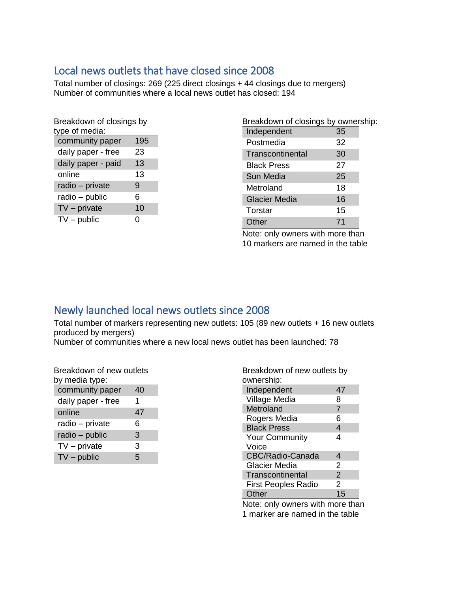### <span id="page-3-0"></span>Local news outlets that have closed since 2008

Total number of closings: 269 (225 direct closings + 44 closings due to mergers) Number of communities where a local news outlet has closed: 194

| Breakdown of closings by |     |  |  |  |
|--------------------------|-----|--|--|--|
| type of media:           |     |  |  |  |
| community paper          | 195 |  |  |  |
| daily paper - free       | 23  |  |  |  |
| daily paper - paid       | 13  |  |  |  |
| online                   | 13  |  |  |  |
| radio - private          | 9   |  |  |  |
| radio – public<br>6      |     |  |  |  |
| $TV$ – private<br>10     |     |  |  |  |
| $TV$ – public            | 0   |  |  |  |
|                          |     |  |  |  |

| Breakdown of closings by ownership: |    |  |
|-------------------------------------|----|--|
| Independent                         | 35 |  |
| Postmedia                           | 32 |  |
| Transcontinental                    | 30 |  |
| <b>Black Press</b>                  | 27 |  |
| Sun Media                           | 25 |  |
| Metroland                           | 18 |  |
| <b>Glacier Media</b>                | 16 |  |
| Torstar                             | 15 |  |
| Other                               | 71 |  |

Note: only owners with more than 10 markers are named in the table

# <span id="page-3-1"></span>Newly launched local news outlets since 2008

Total number of markers representing new outlets: 105 (89 new outlets + 16 new outlets produced by mergers)

Number of communities where a new local news outlet has been launched: 78

| Breakdown of new outlets<br>by media type: |    |  |
|--------------------------------------------|----|--|
| community paper                            | 40 |  |
| daily paper - free                         | 1  |  |
| online                                     | 47 |  |
| radio - private                            | 6  |  |
| radio – public                             | 3  |  |

TV – private 3  $TV$  – public  $5$ 

| Breakdown of new outlets by |  |  |
|-----------------------------|--|--|
| $\alpha$ unorchin $\cdot$   |  |  |

| ownership:                 |                |  |  |  |
|----------------------------|----------------|--|--|--|
| Independent                | 47             |  |  |  |
| Village Media              | 8              |  |  |  |
| Metroland                  | $\overline{7}$ |  |  |  |
| Rogers Media               | 6              |  |  |  |
| <b>Black Press</b>         | 4              |  |  |  |
| <b>Your Community</b>      | 4              |  |  |  |
| Voice                      |                |  |  |  |
| CBC/Radio-Canada           | 4              |  |  |  |
| Glacier Media              | 2              |  |  |  |
| Transcontinental           | $\overline{2}$ |  |  |  |
| <b>First Peoples Radio</b> | $\mathfrak{p}$ |  |  |  |
| Other                      | 15             |  |  |  |

Note: only owners with more than 1 marker are named in the table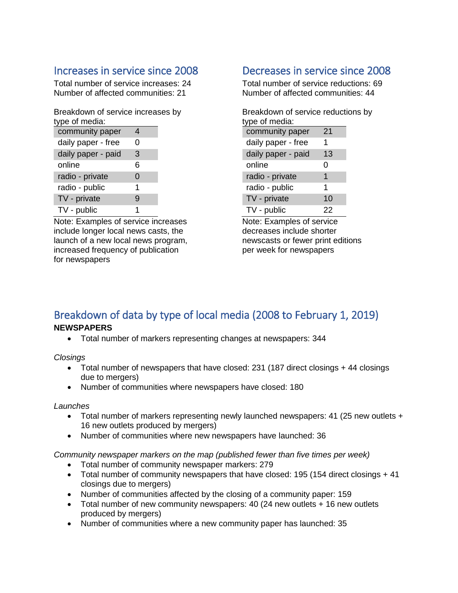# <span id="page-4-0"></span>Increases in service since 2008

Total number of service increases: 24 Number of affected communities: 21

Breakdown of service increases by type of media:

| , ,,,,,,,,,,       |   |  |
|--------------------|---|--|
| community paper    | 4 |  |
| daily paper - free | 0 |  |
| daily paper - paid | 3 |  |
| online             | 6 |  |
| radio - private    | 0 |  |
| radio - public     | 1 |  |
| TV - private       | 9 |  |
| TV - public        | 1 |  |

Note: Examples of service increases include longer local news casts, the launch of a new local news program, increased frequency of publication for newspapers

### <span id="page-4-1"></span>Decreases in service since 2008

Total number of service reductions: 69 Number of affected communities: 44

Breakdown of service reductions by type of media: community paper 21

| $5511111511177$ paps: |    |
|-----------------------|----|
| daily paper - free    | 1  |
| daily paper - paid    | 13 |
| online                | 0  |
| radio - private       | 1  |
| radio - public        | 1  |
| TV - private          | 10 |
| TV - public           | 22 |

Note: Examples of service decreases include shorter newscasts or fewer print editions per week for newspapers

### <span id="page-4-2"></span>Breakdown of data by type of local media (2008 to February 1, 2019) **NEWSPAPERS**

• Total number of markers representing changes at newspapers: 344

*Closings*

- Total number of newspapers that have closed: 231 (187 direct closings + 44 closings due to mergers)
- Number of communities where newspapers have closed: 180

#### *Launches*

- Total number of markers representing newly launched newspapers: 41 (25 new outlets + 16 new outlets produced by mergers)
- Number of communities where new newspapers have launched: 36

*Community newspaper markers on the map (published fewer than five times per week)* 

- Total number of community newspaper markers: 279
- Total number of community newspapers that have closed: 195 (154 direct closings + 41) closings due to mergers)
- Number of communities affected by the closing of a community paper: 159
- Total number of new community newspapers: 40 (24 new outlets + 16 new outlets produced by mergers)
- Number of communities where a new community paper has launched: 35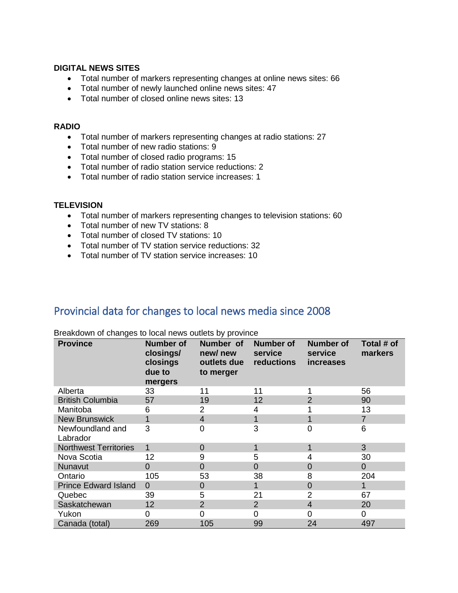#### **DIGITAL NEWS SITES**

- Total number of markers representing changes at online news sites: 66
- Total number of newly launched online news sites: 47
- Total number of closed online news sites: 13

#### **RADIO**

- Total number of markers representing changes at radio stations: 27
- Total number of new radio stations: 9
- Total number of closed radio programs: 15
- Total number of radio station service reductions: 2
- Total number of radio station service increases: 1

#### **TELEVISION**

- Total number of markers representing changes to television stations: 60
- Total number of new TV stations: 8
- Total number of closed TV stations: 10
- Total number of TV station service reductions: 32
- Total number of TV station service increases: 10

### <span id="page-5-0"></span>Provincial data for changes to local news media since 2008

| <b>Province</b>              | <b>Number of</b><br>closings/<br>closings<br>due to<br>mergers | Number of<br>new/new<br>outlets due<br>to merger | <b>Number of</b><br>service<br>reductions | <b>Number of</b><br>service<br><i>increases</i> | Total # of<br>markers |
|------------------------------|----------------------------------------------------------------|--------------------------------------------------|-------------------------------------------|-------------------------------------------------|-----------------------|
| Alberta                      | 33                                                             | 11                                               | 11                                        |                                                 | 56                    |
| <b>British Columbia</b>      | 57                                                             | 19                                               | 12                                        | $\overline{2}$                                  | 90                    |
| Manitoba                     | 6                                                              | 2                                                | 4                                         |                                                 | 13                    |
| <b>New Brunswick</b>         | 1                                                              | 4                                                |                                           | 1                                               | $\overline{7}$        |
| Newfoundland and<br>Labrador | 3                                                              | 0                                                | 3                                         | 0                                               | 6                     |
| <b>Northwest Territories</b> | 1                                                              | 0                                                |                                           | 1                                               | 3                     |
| Nova Scotia                  | 12                                                             | 9                                                | 5                                         | 4                                               | 30                    |
| <b>Nunavut</b>               | 0                                                              | 0                                                | $\Omega$                                  | 0                                               | $\overline{0}$        |
| Ontario                      | 105                                                            | 53                                               | 38                                        | 8                                               | 204                   |
| <b>Prince Edward Island</b>  | $\Omega$                                                       | 0                                                |                                           | $\overline{0}$                                  | 1                     |
| Quebec                       | 39                                                             | 5                                                | 21                                        | $\overline{2}$                                  | 67                    |
| Saskatchewan                 | 12                                                             | $\overline{2}$                                   | 2                                         | 4                                               | 20                    |
| Yukon                        | 0                                                              | 0                                                | 0                                         | 0                                               | 0                     |
| Canada (total)               | 269                                                            | 105                                              | 99                                        | 24                                              | 497                   |

Breakdown of changes to local news outlets by province